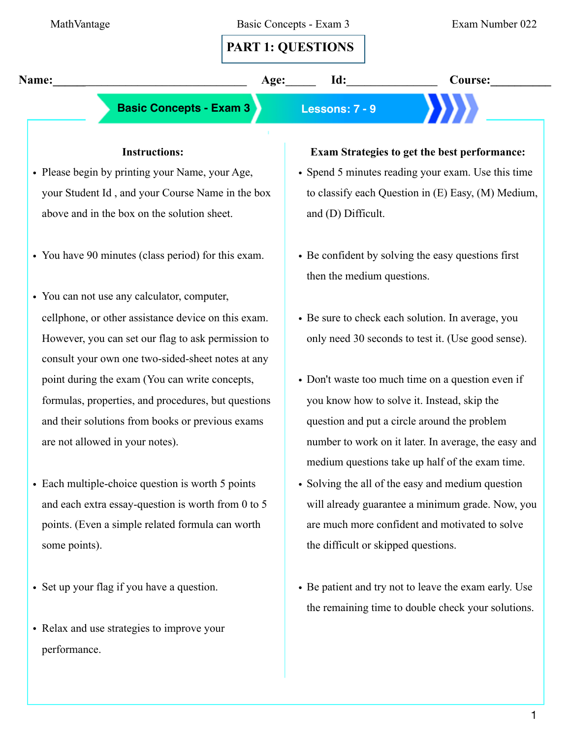| MathVantage                                         |      | Basic Concepts - Exam 3                                                          | Exam Number 022 |
|-----------------------------------------------------|------|----------------------------------------------------------------------------------|-----------------|
|                                                     |      | <b>PART 1: QUESTIONS</b>                                                         |                 |
| Name:                                               | Age: | Id:                                                                              | <b>Course:</b>  |
| <b>Basic Concepts - Exam 3</b><br>Lessons: 7 - 9    |      |                                                                                  |                 |
| <b>Instructions:</b>                                |      | <b>Exam Strategies to get the best performance:</b>                              |                 |
| • Please begin by printing your Name, your Age,     |      | • Spend 5 minutes reading your exam. Use this time                               |                 |
| your Student Id, and your Course Name in the box    |      | to classify each Question in $(E)$ Easy, $(M)$ Medium,                           |                 |
| above and in the box on the solution sheet.         |      | and (D) Difficult.                                                               |                 |
| • You have 90 minutes (class period) for this exam. |      | • Be confident by solving the easy questions first<br>then the medium questions. |                 |
| • You can not use any calculator, computer,         |      |                                                                                  |                 |

- cellphone, or other assistance device on this exam. However, you can set our flag to ask permission to consult your own one two-sided-sheet notes at any point during the exam (You can write concepts, formulas, properties, and procedures, but questions and their solutions from books or previous exams are not allowed in your notes).
- Each multiple-choice question is worth 5 points and each extra essay-question is worth from 0 to 5 points. (Even a simple related formula can worth some points).
- Set up your flag if you have a question.
- Relax and use strategies to improve your performance.
- Be sure to check each solution. In average, you only need 30 seconds to test it. (Use good sense).
- Don't waste too much time on a question even if you know how to solve it. Instead, skip the question and put a circle around the problem number to work on it later. In average, the easy and medium questions take up half of the exam time.
- Solving the all of the easy and medium question will already guarantee a minimum grade. Now, you are much more confident and motivated to solve the difficult or skipped questions.
- Be patient and try not to leave the exam early. Use the remaining time to double check your solutions.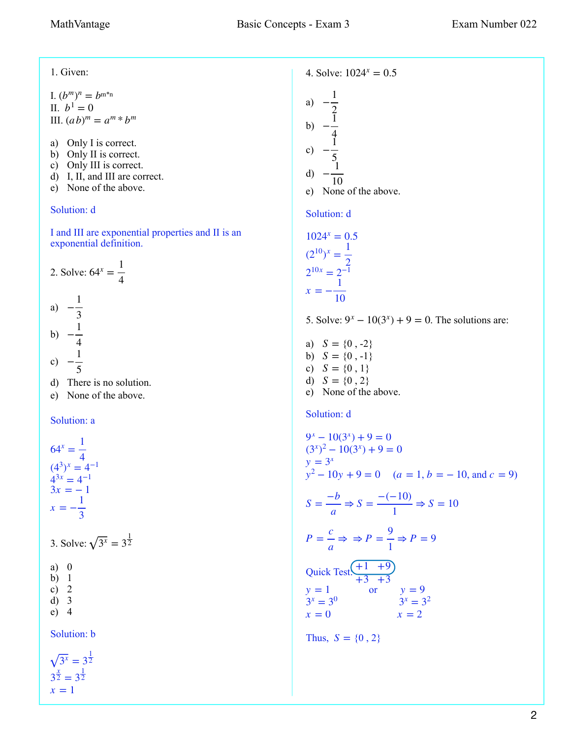$x = 1$ 

1. Given: I.  $(b^m)^n = b^{m*n}$ II.  $b^1 = 0$ III.  $(ab)^m = a^m * b^m$ a) Only I is correct. b) Only II is correct. c) Only III is correct. d) I, II, and III are correct. e) None of the above. Solution: d I and III are exponential properties and II is an exponential definition. 2. Solve:  $64^x = \frac{1}{4}$ a)  $-\frac{1}{2}$ b)  $-\frac{1}{4}$ c)  $-\frac{1}{5}$ d) There is no solution. e) None of the above. Solution: a 3. Solve:  $\sqrt{3^x} = 3^{\frac{1}{2}}$ a) 0 b) 1 c)  $2$ d) 3 e) 4 Solution: b 4. Solve:  $1024^x = 0.5$ a) b) c) d) e) None of the above. Solution: d 5. Solve:  $9^x - 10(3^x) + 9 = 0$ . The solutions are: a)  $S = \{0, -2\}$ b)  $S = \{0, -1\}$ c)  $S = \{0, 1\}$ d)  $S = \{0, 2\}$ e) None of the above. Solution: d  $y^2 - 10y + 9 = 0$  *(a = 1, b = -10, and c = 9)*  $P = \frac{c}{\rightarrow}$ Quick Test.  $\left( \frac{+1}{2} + \frac{9}{2} \right)$  or  $x = 0$   $x = 2$ Thus,  $S = \{0, 2\}$ 4 3 4 5  $64^x = \frac{1}{4}$ 4  $(4^3)^x = 4^{-1}$  $4^{3x} = 4^{-1}$  $3x = -1$  $x = -\frac{1}{2}$ 3  $\overline{3^x} = 3^{\frac{1}{2}}$  $3^{\frac{x}{2}} = 3^{\frac{1}{2}}$  $-\frac{1}{2}$ 2  $-\frac{1}{4}$ 4  $-\frac{1}{5}$ 5  $-\frac{1}{10}$ 10  $1024^{x} = 0.5$  $(2^{10})^x = \frac{1}{2}$  $\frac{2}{1}$  $2^{10x} = 2^{-1}$  $x = -\frac{1}{16}$ 10  $9^x - 10(3^x) + 9 = 0$  $(3^{x})^{2} - 10(3^{x}) + 9 = 0$  $y = 3^x$  $S = \frac{-b}{ }$ *a*  $\Rightarrow$  *S* =  $\frac{-(-10)}{1}$ 1  $\Rightarrow$  *S* = 10 *a*  $\Rightarrow$   $\Rightarrow$   $P = \frac{9}{1}$ 1  $\Rightarrow$  *P* = 9 +3 +3  $y = 1$  or  $y = 9$  $3^x = 3^0$   $3^x = 3^2$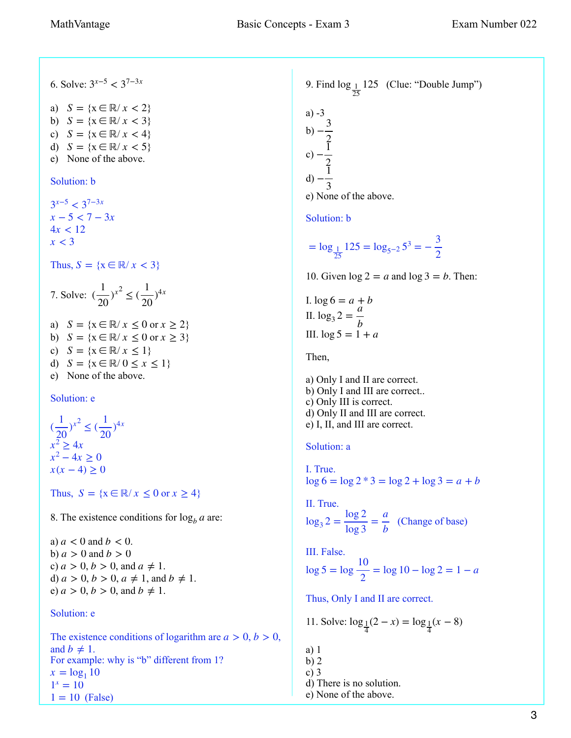6. Solve: 3*x*−<sup>5</sup> < 37−3*<sup>x</sup>* a)  $S = \{x \in \mathbb{R} / x < 2\}$ b)  $S = \{x \in \mathbb{R} / x < 3\}$ c)  $S = \{x \in \mathbb{R} / x < 4\}$ d)  $S = \{x \in \mathbb{R} / x < 5\}$ e) None of the above. Solution: b Thus,  $S = \{x \in \mathbb{R} / x < 3\}$ 7. Solve: ( a)  $S = \{x \in \mathbb{R} / x \le 0 \text{ or } x \ge 2\}$ b)  $S = \{x \in \mathbb{R} / x \le 0 \text{ or } x \ge 3\}$ c)  $S = \{x \in \mathbb{R} / x \le 1\}$ d)  $S = \{x \in \mathbb{R} / 0 \le x \le 1\}$ e) None of the above. Solution: e Thus,  $S = \{x \in \mathbb{R} / x \leq 0 \text{ or } x \geq 4\}$ 8. The existence conditions for  $\log_b a$  are: a)  $a < 0$  and  $b < 0$ .  $b) a > 0$  and  $b > 0$ c)  $a > 0, b > 0,$  and  $a \neq 1$ . d)  $a > 0, b > 0, a \neq 1,$  and  $b \neq 1$ . e)  $a > 0, b > 0,$  and  $b \neq 1$ . Solution: e 3*x*−<sup>5</sup> < 37−3*<sup>x</sup> x* − 5 < 7 − 3*x*  $4x < 12$ *x* < 3  $\frac{1}{20}$ )<sup>x<sup>2</sup></sup> ≤ ( 1  $\frac{1}{20}$ <sup>4*x*</sup> (  $\frac{1}{20}$ )<sup>x<sup>2</sup>  $\leq$  (</sup> 1  $\frac{1}{20}$ <sup>4*x*</sup>  $x^2 > 4x$  $x^2 - 4x \ge 0$  $x(x − 4) ≥ 0$ 

The existence conditions of logarithm are  $a > 0, b > 0$ , and  $b \neq 1$ . For example: why is "b" different from 1?  $1 = 10$  (False)  $x = log_1 10$  $1^x = 10$ 

9. Find 
$$
\log_{\frac{1}{25}} 125
$$
 (Clue: "Double Jump")  
\na) -3  
\nb) - $\frac{3}{2}$   
\nc) - $\frac{1}{2}$   
\nd) - $\frac{1}{3}$   
\ne) None of the above.  
\nSolution: b  
\n=  $\log_{\frac{1}{25}} 125 = \log_{5-2} 5^3 = -\frac{3}{2}$ 

10. Given  $\log 2 = a$  and  $\log 3 = b$ . Then:

I.  $\log 6 = a + b$ II.  $\log_3 2 = \frac{a}{b}$ III.  $\log 5 = 1 + a$ 

Then,

a) Only I and II are correct. b) Only I and III are correct.. c) Only III is correct. d) Only II and III are correct. e) I, II, and III are correct.

## Solution: a

I. True. log 6 = log 2 \* 3 = log 2 + log 3 = *a* + *b*

```
II. True. 
\log_3 2 = \frac{\log 2}{\log 3} = \frac{a}{b} (Change of base)
```
III. False.  $log 5 = log$ 10  $\frac{2}{2}$  = log 10 – log 2 = 1 – *a* 

Thus, Only I and II are correct.

11. Solve:  $\log_{\frac{1}{4}}(2-x) = \log_{\frac{1}{4}}(x-8)$ 

- a) 1
- b) 2
- c) 3
- d) There is no solution.
- e) None of the above.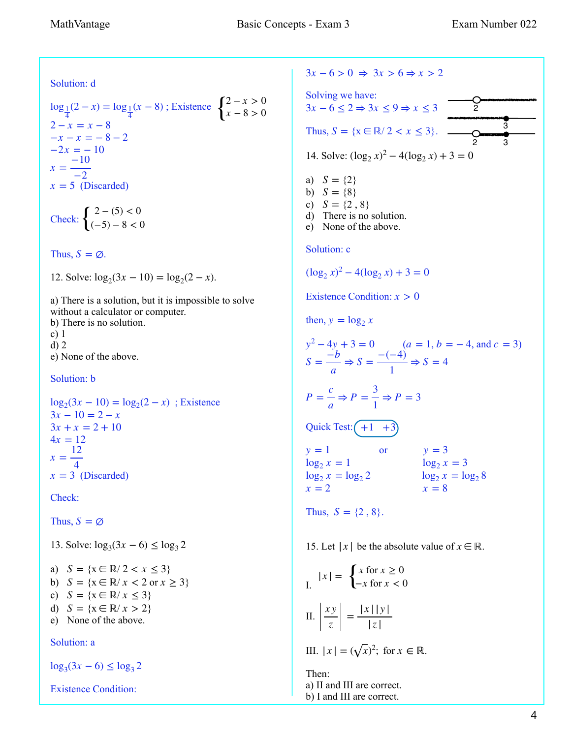Solution: d

$$
\log_{\frac{1}{4}}(2-x) = \log_{\frac{1}{4}}(x-8)
$$
; Existence 
$$
\begin{cases} 2-x > 0 \\ x-8 > 0 \end{cases}
$$
  
2-x = x - 8  
-x - x = -8 - 2  
-2x = -10  
x =  $\frac{-10}{-2}$   
x = 5 (Discarded)

Check:  $\begin{cases} 2 - (5) < 0 \\ (-5) - 8 < 0 \end{cases}$ 

Thus,  $S = \emptyset$ .

12. Solve:  $\log_2(3x - 10) = \log_2(2 - x)$ .

a) There is a solution, but it is impossible to solve without a calculator or computer. b) There is no solution. c) 1 d) 2 e) None of the above.

Solution: b

 $\log_2(3x - 10) = \log_2(2 - x)$ ; Existence  $x = 3$  (Discarded)  $3x - 10 = 2 - x$  $3x + x = 2 + 10$  $4x = 12$  $x = \frac{12}{4}$ 4

Check:

Thus,  $S = \emptyset$ 

13. Solve:  $log_3(3x - 6)$  ≤  $log_3 2$ 

a)  $S = \{x \in \mathbb{R} / 2 < x \leq 3\}$ b)  $S = \{x \in \mathbb{R} / x < 2 \text{ or } x \geq 3\}$ c)  $S = \{x \in \mathbb{R} / x \leq 3\}$ d)  $S = \{x \in \mathbb{R} / x > 2\}$ e) None of the above.

## Solution: a

 $log_3(3x − 6) ≤ log_3 2$ 

Existence Condition:

 $3x - 6 > 0 \Rightarrow 3x > 6 \Rightarrow x > 2$ Solving we have: Thus,  $S = \{x \in \mathbb{R} / 2 < x \leq 3\}.$ 14. Solve:  $(\log_2 x)^2 - 4(\log_2 x) + 3 = 0$ a)  $S = \{2\}$ b)  $S = \{8\}$ c)  $S = \{2, 8\}$ d) There is no solution. e) None of the above. Solution: c Existence Condition:  $x > 0$ then,  $y = \log_2 x$  $y^2 - 4y + 3 = 0$  *(a = 1, b = -4, and c = 3)* Quick Test:  $\left( +1 +3 \right)$  $y = 1$  or  $y = 3$  $x=2$ Thus,  $S = \{2, 8\}$ .  $3x - 6 \le 2$  ⇒  $3x \le 9$  ⇒  $x \le 3$  $(\log_2 x)^2 - 4(\log_2 x) + 3 = 0$  $S = \frac{-b}{ }$ *a*  $\Rightarrow$   $S = \frac{-(-4)}{1}$ 1  $\Rightarrow$  *S* = 4  $P = \frac{c}{\sqrt{2}}$ *a*  $\Rightarrow P = \frac{3}{1}$ 1  $\Rightarrow$  *P* = 3  $\log_2 x = 1$   $\log_2 x = 3$  $\log_2 x = \log_2 2$   $\log_2 x = \log_2 8$  $x = 2$   $x = 8$ 2 3 2 3

15. Let  $|x|$  be the absolute value of  $x \in \mathbb{R}$ .

I. 
$$
|x| = \begin{cases} x \text{ for } x \ge 0 \\ -x \text{ for } x < 0 \end{cases}
$$
  
II. 
$$
\left| \frac{xy}{z} \right| = \frac{|x| |y|}{|z|}
$$

III. 
$$
|x| = (\sqrt{x})^2
$$
; for  $x \in \mathbb{R}$ .

Then: a) II and III are correct. b) I and III are correct.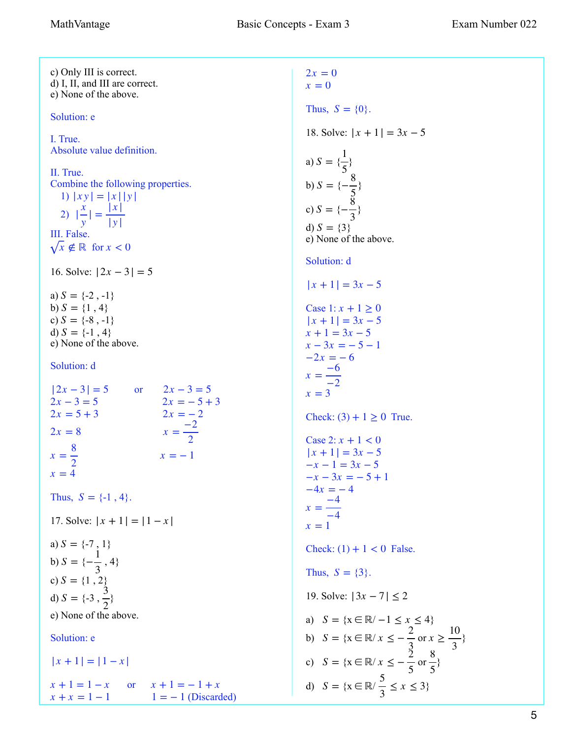c) Only III is correct. d) I, II, and III are correct. e) None of the above. Solution: e I. True. Absolute value definition. II. True. Combine the following properties. 1)  $|xy| = |x||y|$  $|2)$ III. False.  $x \notin \mathbb{R}$  for  $x < 0$ 16. Solve:  $|2x - 3| = 5$ a)  $S = \{-2, -1\}$ b)  $S = \{1, 4\}$ c)  $S = \{-8, -1\}$ d)  $S = \{-1, 4\}$ e) None of the above. Solution: d  $|2x - 3| = 5$  or  $2x - 3 = 5$  $2x=8$ Thus,  $S = \{-1, 4\}$ . 17. Solve:  $|x + 1| = |1 - x|$ a)  $S = \{-7, 1\}$ b)  $S = \{-\frac{1}{3}, 4\}$ c)  $S = \{1, 2\}$ d)  $S = \{-3, \frac{3}{2}\}$ e) None of the above. Solution: e  $|x + 1| = |1 - x|$  $x + 1 = 1 - x$  or  $x + 1 = -1 + x$  $x + x = 1 - 1$   $1 = -1$  (Discarded)  $x = 0$ *x y*  $| = \frac{|x|}{|x|}$ | *y* |  $2x - 3 = 5$   $2x = -5 + 3$  $2x = 5 + 3$   $2x = -2$  $2x = 8$   $x = \frac{-2}{3}$  $x = \frac{-2}{2}$  $x=\frac{8}{3}$ 2  $x = -1$  $x = 4$  $S =$  $S = \{-\frac{1}{2}\}$ 3 2  $2x = 0$ 

Thus,  $S = \{0\}$ . 18. Solve:  $|x + 1| = 3x - 5$ a)  $S = \{\frac{1}{5}\}\$ b)  $S = \{-\frac{3}{5}\}$ c)  $S = \{-\frac{8}{3}\}$ d)  $S = \{3\}$ e) None of the above. Solution: d Case  $1: x + 1 \ge 0$ Check:  $(3) + 1 \ge 0$  True. Case 2:  $x + 1 < 0$ Check:  $(1) + 1 < 0$  False. Thus,  $S = \{3\}$ . 19. Solve: |3*x* − 7| ≤ 2 a)  $S = \{x \in \mathbb{R} / -1 \le x \le 4\}$ b)  $S = \{x \in \mathbb{R}^y : x \leq -\frac{2}{3} \text{ or } x \geq \frac{10}{3}\}\$ c)  $S = \{x \in \mathbb{R} / x \leq -\frac{2}{5} \text{ or } \frac{8}{5} \}$ d)  $S = \{x \in \mathbb{R} / \frac{1}{2} \le x \le 3\}$ 5  $S = \{-\frac{8}{5}\}$  $\frac{5}{2}$  $S = \{-\frac{8}{3}\}$ 3  $|x + 1| = 3x - 5$  $|x + 1| = 3x - 5$  $x + 1 = 3x - 5$  $x - 3x = -5 - 1$  $-2x = -6$  $x = \frac{-6}{2}$  $-2$  $x = 3$  $|x + 1| = 3x - 5$  $-x-1=3x-5$  $-x - 3x = -5 + 1$  $-4x = -4$  $x =$ −4  $x = 1$ 3 *x* ≥ 10 3 5 8 5 5  $\frac{1}{3} \leq x \leq 3$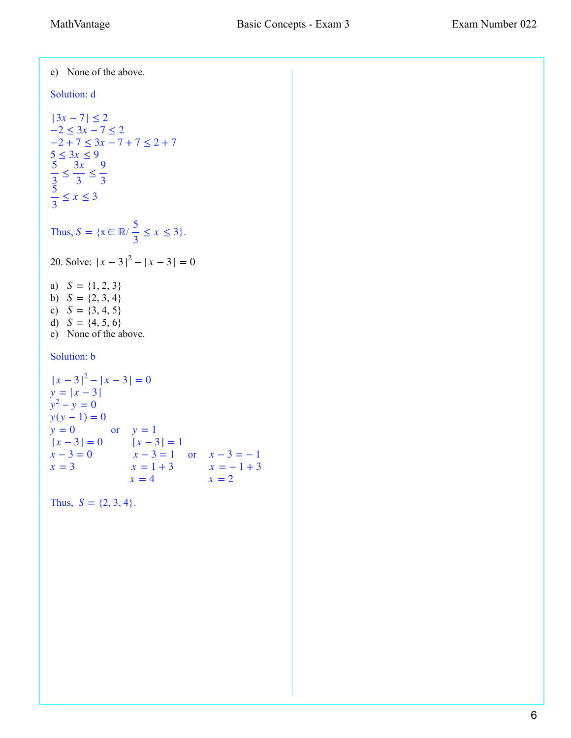e) None of the above. Solution: d Thus,  $S = \{x \in \mathbb{R} \mid \frac{1}{2} \leq x \leq 3\}.$ 20. Solve:  $|x-3|^2 - |x-3| = 0$ a)  $S = \{1, 2, 3\}$ b)  $S = \{2, 3, 4\}$ c)  $S = \{3, 4, 5\}$ d)  $S = \{4, 5, 6\}$ e) None of the above. Solution: b  $y = 0$  or  $y = 1$  $x - 3 = 1$  or  $x = 3$ Thus,  $S = \{2, 3, 4\}$ .  $|3x - 7| \leq 2$  $-2 \leq 3x - 7 \leq 2$  $-2 + 7 \leq 3x - 7 + 7 \leq 2 + 7$  $5 \leq 3x \leq 9$ 5  $\frac{2}{3} \le$ 3*x*  $\frac{m}{3} \leq$ 9 3 5  $\frac{1}{3} \leq x \leq 3$ 5  $\frac{1}{3} \leq x \leq 3$  $|x-3|^2 - |x-3| = 0$  $y = |x - 3|$  $y^2 - y = 0$  $y(y-1) = 0$  $|x-3| = 0$   $|x-3| = 1$  $x - 3 = 0$   $x - 3 = 1$  or  $x - 3 = -1$  $x = 1 + 3$   $x = -1 + 3$ <br> $x = 4$   $x = 2$  $x = 2$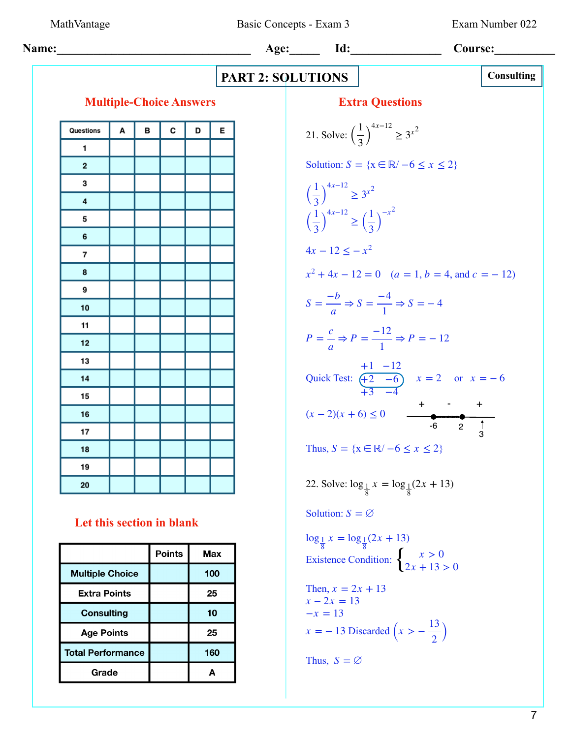MathVantage Basic Concepts - Exam 3 Exam Number 022

| Name:                   | Age:                                                                 | Id:        | Course: |   |   |
|-------------------------|----------------------------------------------------------------------|------------|---------|---|---|
| Multiple-Choice Answers | Extractations                                                        | Constiting |         |   |   |
| 0                       | 0                                                                    | 0          | 0       | 0 | 0 |
| 1                       | 1                                                                    | 0          | 0       | 0 | 0 |
| 2                       | Solution: $S = \{x \in \mathbb{R} \mid -6 \le x \le 2\}$             |            |         |   |   |
| 3                       | $\left(\frac{1}{3}\right)^{4x-12} \ge 3^{2}$                         |            |         |   |   |
| 4                       | $\left(\frac{1}{3}\right)^{4x-12} \ge \left(\frac{1}{3}\right)^{-2}$ |            |         |   |   |
| 5                       | $\left(\frac{1}{3}\right)^{4x-12} \ge \left(\frac{1}{3}\right)^{-2}$ |            |         |   |   |
| 6                       | $\left(\frac{1}{3}\right)^{4x-12} \ge \left(\frac{1}{3}\right)^{-2}$ |            |         |   |   |
| 7                       | $4x - 12 \le -x^2$                                                   |            |         |   |   |
| 8                       | $x^2 + 4x - 12 = 0$ (a = 1, b = 4, and c = -12)                      |            |         |   |   |
| 9                       | $y = \frac{c}{a} \Rightarrow p = \frac{-12}{1} \Rightarrow p = -12$  |            |         |   |   |
| 10                      | $p = \frac{c}{a} \Rightarrow p = \frac{-12}{1} \Rightarrow p = -12$  |            |         |   |   |
| 11                      | Quick Test: $\frac{1+2-16}{12-6}$ x = 2 or $x = -6$                  |            |         |   |   |
| 12                      | Thus, $S = \{x \in \mathbb{R} \mid -6 \le x \le 2\}$                 |            |         |   |   |
| 13                      | Thus, $S = \{x$                                                      |            |         |   |   |